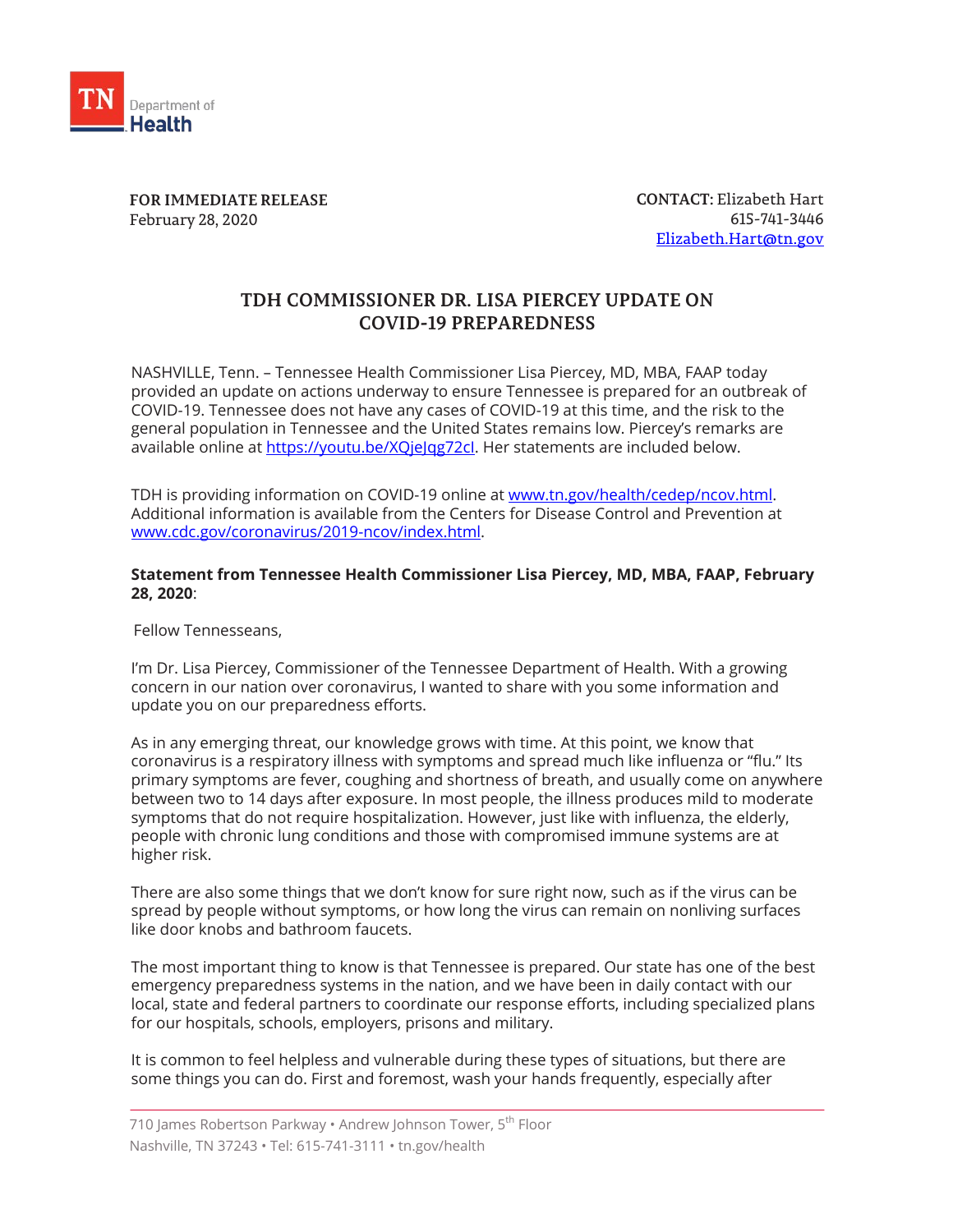

**FOR IMMEDIATE RELEASE** February 28, 2020

**CONTACT:** Elizabeth Hart 615-741-3446 [Elizabeth.Hart@tn.gov](mailto:Elizabeth.Hart@tn.gov)

## **TDH COMMISSIONER DR. LISA PIERCEY UPDATE ON COVID-19 PREPAREDNESS**

NASHVILLE, Tenn. – Tennessee Health Commissioner Lisa Piercey, MD, MBA, FAAP today provided an update on actions underway to ensure Tennessee is prepared for an outbreak of COVID-19. Tennessee does not have any cases of COVID-19 at this time, and the risk to the general population in Tennessee and the United States remains low. Piercey's remarks are available online at https://youtu.be/XQielqg72cl. Her statements are included below.

TDH is providing information on COVID-19 online at [www.tn.gov/health/cedep/ncov.html.](http://www.tn.gov/health/cedep/ncov.html) Additional information is available from the Centers for Disease Control and Prevention at [www.cdc.gov/coronavirus/2019-ncov/index.html.](http://www.cdc.gov/coronavirus/2019-ncov/index.html)

## **Statement from Tennessee Health Commissioner Lisa Piercey, MD, MBA, FAAP, February 28, 2020**:

Fellow Tennesseans,

I'm Dr. Lisa Piercey, Commissioner of the Tennessee Department of Health. With a growing concern in our nation over coronavirus, I wanted to share with you some information and update you on our preparedness efforts.

As in any emerging threat, our knowledge grows with time. At this point, we know that coronavirus is a respiratory illness with symptoms and spread much like influenza or "flu." Its primary symptoms are fever, coughing and shortness of breath, and usually come on anywhere between two to 14 days after exposure. In most people, the illness produces mild to moderate symptoms that do not require hospitalization. However, just like with influenza, the elderly, people with chronic lung conditions and those with compromised immune systems are at higher risk.

There are also some things that we don't know for sure right now, such as if the virus can be spread by people without symptoms, or how long the virus can remain on nonliving surfaces like door knobs and bathroom faucets.

The most important thing to know is that Tennessee is prepared. Our state has one of the best emergency preparedness systems in the nation, and we have been in daily contact with our local, state and federal partners to coordinate our response efforts, including specialized plans for our hospitals, schools, employers, prisons and military.

It is common to feel helpless and vulnerable during these types of situations, but there are some things you can do. First and foremost, wash your hands frequently, especially after

<sup>710</sup> James Robertson Parkway • Andrew Johnson Tower, 5<sup>th</sup> Floor Nashville, TN 37243 • Tel: 615-741-3111 • tn.gov/health